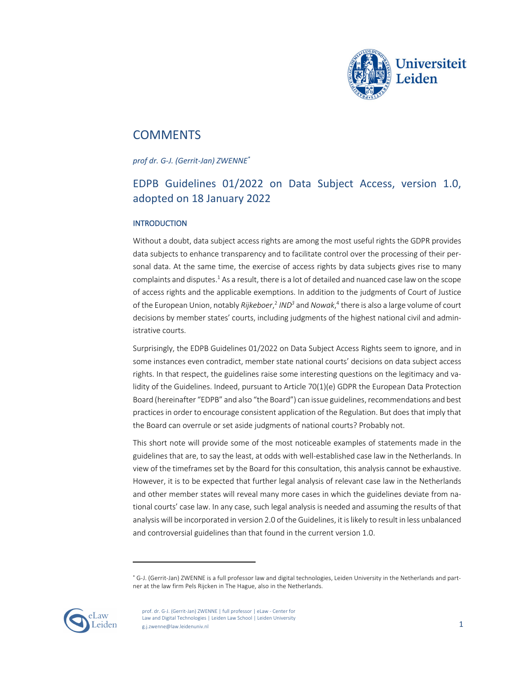

# **COMMENTS**

*prof dr. G-J. (Gerrit-Jan) ZWENNE\**

# EDPB Guidelines 01/2022 on Data Subject Access, version 1.0, adopted on 18 January 2022

# INTRODUCTION

Without a doubt, data subject access rights are among the most useful rights the GDPR provides data subjects to enhance transparency and to facilitate control over the processing of their personal data. At the same time, the exercise of access rights by data subjects gives rise to many complaints and disputes. $1$  As a result, there is a lot of detailed and nuanced case law on the scope of access rights and the applicable exemptions. In addition to the judgments of Court of Justice of the European Union, notably *Rijkeboer*, <sup>2</sup> *IND3* and *Nowak*, <sup>4</sup> there is also a large volume of court decisions by member states' courts, including judgments of the highest national civil and administrative courts.

Surprisingly, the EDPB Guidelines 01/2022 on Data Subject Access Rights seem to ignore, and in some instances even contradict, member state national courts' decisions on data subject access rights. In that respect, the guidelines raise some interesting questions on the legitimacy and validity of the Guidelines. Indeed, pursuant to Article 70(1)(e) GDPR the European Data Protection Board (hereinafter "EDPB" and also "the Board") can issue guidelines, recommendations and best practices in order to encourage consistent application of the Regulation. But does that imply that the Board can overrule or set aside judgments of national courts? Probably not.

This short note will provide some of the most noticeable examples of statements made in the guidelines that are, to say the least, at odds with well-established case law in the Netherlands. In view of the timeframes set by the Board for this consultation, this analysis cannot be exhaustive. However, it is to be expected that further legal analysis of relevant case law in the Netherlands and other member states will reveal many more cases in which the guidelines deviate from national courts' case law. In any case, such legal analysis is needed and assuming the results of that analysis will be incorporated in version 2.0 of the Guidelines, it is likely to result in less unbalanced and controversial guidelines than that found in the current version 1.0.

<sup>\*</sup> G-J. (Gerrit-Jan) ZWENNE is a full professor law and digital technologies, Leiden University in the Netherlands and partner at the law firm Pels Rijcken in The Hague, also in the Netherlands.

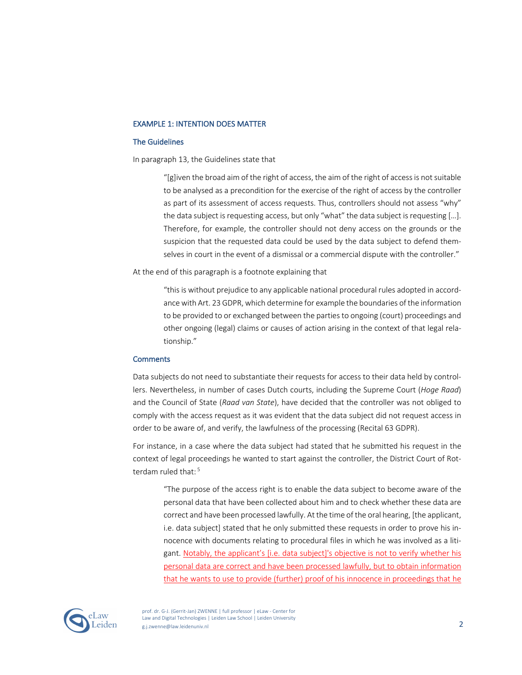## EXAMPLE 1: INTENTION DOES MATTER

#### The Guidelines

In paragraph 13, the Guidelines state that

"[g]iven the broad aim of the right of access, the aim of the right of access is not suitable to be analysed as a precondition for the exercise of the right of access by the controller as part of its assessment of access requests. Thus, controllers should not assess "why" the data subject is requesting access, but only "what" the data subject is requesting […]. Therefore, for example, the controller should not deny access on the grounds or the suspicion that the requested data could be used by the data subject to defend themselves in court in the event of a dismissal or a commercial dispute with the controller."

At the end of this paragraph is a footnote explaining that

"this is without prejudice to any applicable national procedural rules adopted in accordance with Art. 23 GDPR, which determine for example the boundaries of the information to be provided to or exchanged between the parties to ongoing (court) proceedings and other ongoing (legal) claims or causes of action arising in the context of that legal relationship."

#### **Comments**

Data subjects do not need to substantiate their requests for access to their data held by controllers. Nevertheless, in number of cases Dutch courts, including the Supreme Court (*Hoge Raad*) and the Council of State (*Raad van State*), have decided that the controller was not obliged to comply with the access request as it was evident that the data subject did not request access in order to be aware of, and verify, the lawfulness of the processing (Recital 63 GDPR).

For instance, in a case where the data subject had stated that he submitted his request in the context of legal proceedings he wanted to start against the controller, the District Court of Rotterdam ruled that: <sup>5</sup>

"The purpose of the access right is to enable the data subject to become aware of the personal data that have been collected about him and to check whether these data are correct and have been processed lawfully. At the time of the oral hearing, [the applicant, i.e. data subject] stated that he only submitted these requests in order to prove his innocence with documents relating to procedural files in which he was involved as a litigant. Notably, the applicant's [i.e. data subject]'s objective is not to verify whether his personal data are correct and have been processed lawfully, but to obtain information that he wants to use to provide (further) proof of his innocence in proceedings that he

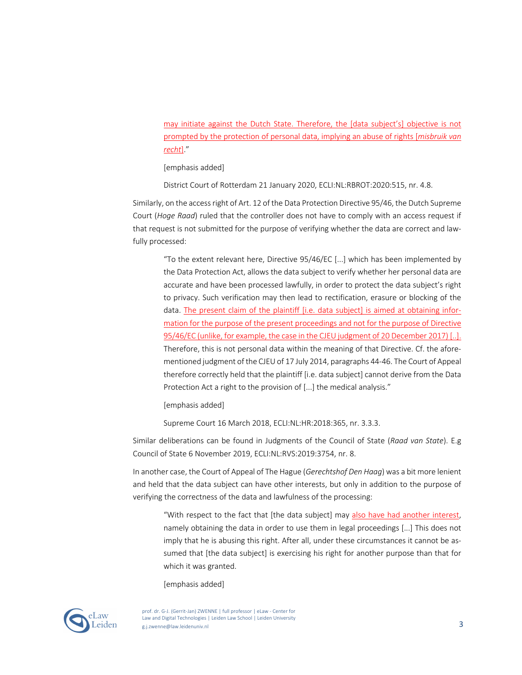may initiate against the Dutch State. Therefore, the [data subject's] objective is not prompted by the protection of personal data, implying an abuse of rights [*misbruik van recht*]."

[emphasis added]

District Court of Rotterdam 21 January 2020, ECLI:NL:RBROT:2020:515, nr. 4.8.

Similarly, on the access right of Art. 12 of the Data Protection Directive 95/46, the Dutch Supreme Court (*Hoge Raad*) ruled that the controller does not have to comply with an access request if that request is not submitted for the purpose of verifying whether the data are correct and lawfully processed:

"To the extent relevant here, Directive 95/46/EC [...] which has been implemented by the Data Protection Act, allows the data subject to verify whether her personal data are accurate and have been processed lawfully, in order to protect the data subject's right to privacy. Such verification may then lead to rectification, erasure or blocking of the data. The present claim of the plaintiff [i.e. data subject] is aimed at obtaining information for the purpose of the present proceedings and not for the purpose of Directive 95/46/EC (unlike, for example, the case in the CJEU judgment of 20 December 2017) [..]. Therefore, this is not personal data within the meaning of that Directive. Cf. the aforementioned judgment of the CJEU of 17 July 2014, paragraphs 44-46. The Court of Appeal therefore correctly held that the plaintiff [i.e. data subject] cannot derive from the Data Protection Act a right to the provision of [...] the medical analysis."

[emphasis added]

Supreme Court 16 March 2018, ECLI:NL:HR:2018:365, nr. 3.3.3.

Similar deliberations can be found in Judgments of the Council of State (*Raad van State*). E.g Council of State 6 November 2019, ECLI:NL:RVS:2019:3754, nr. 8.

In another case, the Court of Appeal of The Hague (*Gerechtshof Den Haag*) was a bit more lenient and held that the data subject can have other interests, but only in addition to the purpose of verifying the correctness of the data and lawfulness of the processing:

"With respect to the fact that [the data subject] may also have had another interest, namely obtaining the data in order to use them in legal proceedings [...] This does not imply that he is abusing this right. After all, under these circumstances it cannot be assumed that [the data subject] is exercising his right for another purpose than that for which it was granted.

[emphasis added]



prof. dr. G-J. (Gerrit-Jan) ZWENNE | full professor | eLaw - Center for Law and Digital Technologies | Leiden Law School | Leiden University g.j.zwenne@law.leidenuniv.nl 3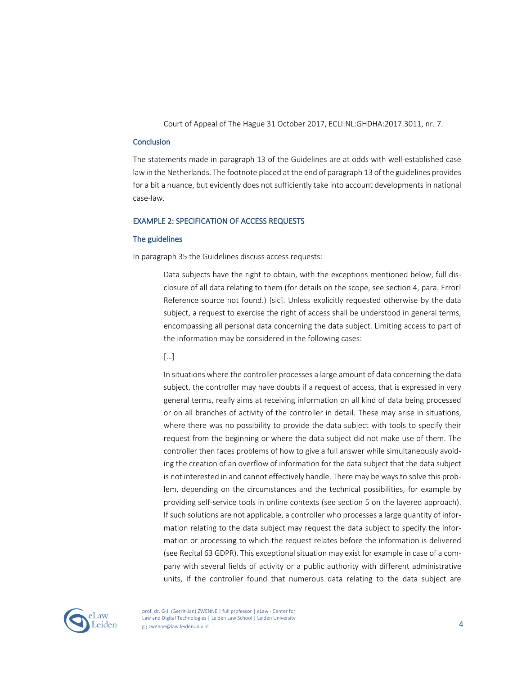Court of Appeal of The Hague 31 October 2017, ECLI:NL:GHDHA:2017:3011, nr. 7.

#### **Conclusion**

The statements made in paragraph 13 of the Guidelines are at odds with well-established case lawin the Netherlands. The footnote placed at the end of paragraph 13 of the guidelines provides for a bit a nuance, but evidently does not sufficiently take into account developments in national case-law.

## EXAMPLE 2: SPECIFICATION OF ACCESS REQUESTS

#### The guidelines

In paragraph 35 the Guidelines discuss access requests:

Data subjects have the right to obtain, with the exceptions mentioned below, full disclosure of all data relating to them (for details on the scope, see section 4, para. Error! Reference source not found.) [sic]. Unless explicitly requested otherwise by the data subject, a request to exercise the right of access shall be understood in general terms, encompassing all personal data concerning the data subject. Limiting access to part of the information may be considered in the following cases:

#### […]

In situations where the controller processes a large amount of data concerning the data subject, the controller may have doubts if a request of access, that is expressed in very general terms, really aims at receiving information on all kind of data being processed or on all branches of activity of the controller in detail. These may arise in situations, where there was no possibility to provide the data subject with tools to specify their request from the beginning or where the data subject did not make use of them. The controller then faces problems of how to give a full answer while simultaneously avoiding the creation of an overflow of information for the data subject that the data subject is not interested in and cannot effectively handle. There may be ways to solve this problem, depending on the circumstances and the technical possibilities, for example by providing self-service tools in online contexts (see section 5 on the layered approach). If such solutions are not applicable, a controller who processes a large quantity of information relating to the data subject may request the data subject to specify the information or processing to which the request relates before the information is delivered (see Recital 63 GDPR). This exceptional situation may exist for example in case of a company with several fields of activity or a public authority with different administrative units, if the controller found that numerous data relating to the data subject are



prof. dr. G-J. (Gerrit-Jan) ZWENNE | full professor | eLaw - Center for Law and Digital Technologies | Leiden Law School | Leiden University g.j.zwenne@law.leidenuniv.nl 4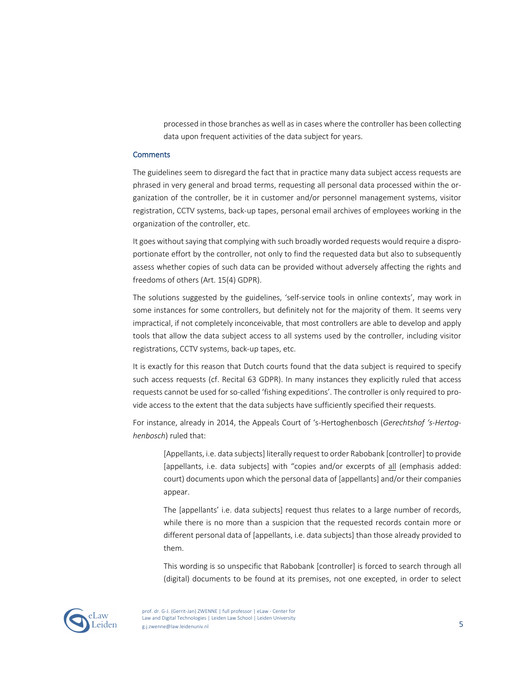processed in those branches as well as in cases where the controller has been collecting data upon frequent activities of the data subject for years.

#### **Comments**

The guidelines seem to disregard the fact that in practice many data subject access requests are phrased in very general and broad terms, requesting all personal data processed within the organization of the controller, be it in customer and/or personnel management systems, visitor registration, CCTV systems, back-up tapes, personal email archives of employees working in the organization of the controller, etc.

It goes without saying that complying with such broadly worded requests would require a disproportionate effort by the controller, not only to find the requested data but also to subsequently assess whether copies of such data can be provided without adversely affecting the rights and freedoms of others (Art. 15(4) GDPR).

The solutions suggested by the guidelines, 'self-service tools in online contexts', may work in some instances for some controllers, but definitely not for the majority of them. It seems very impractical, if not completely inconceivable, that most controllers are able to develop and apply tools that allow the data subject access to all systems used by the controller, including visitor registrations, CCTV systems, back-up tapes, etc.

It is exactly for this reason that Dutch courts found that the data subject is required to specify such access requests (cf. Recital 63 GDPR). In many instances they explicitly ruled that access requests cannot be used for so-called 'fishing expeditions'. The controller is only required to provide access to the extent that the data subjects have sufficiently specified their requests.

For instance, already in 2014, the Appeals Court of 's-Hertoghenbosch (*Gerechtshof 's-Hertoghenbosch*) ruled that:

[Appellants, i.e. data subjects] literally request to order Rabobank [controller] to provide [appellants, i.e. data subjects] with "copies and/or excerpts of all (emphasis added: court) documents upon which the personal data of [appellants] and/or their companies appear.

The [appellants' i.e. data subjects] request thus relates to a large number of records, while there is no more than a suspicion that the requested records contain more or different personal data of [appellants, i.e. data subjects] than those already provided to them.

This wording is so unspecific that Rabobank [controller] is forced to search through all (digital) documents to be found at its premises, not one excepted, in order to select



prof. dr. G-J. (Gerrit-Jan) ZWENNE | full professor | eLaw - Center for Law and Digital Technologies | Leiden Law School | Leiden University extraction technological contains the contact of the contact of the contact of the contact of the contact of the contact of the contact of the contact of the contact of the contact of the contact of the contact of the cont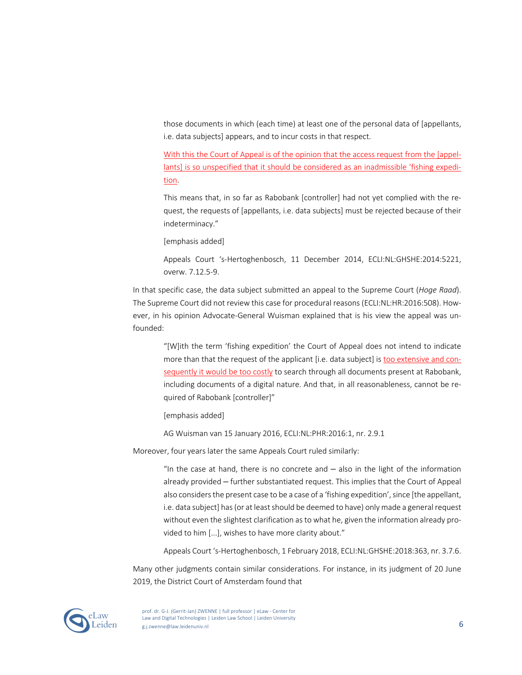those documents in which (each time) at least one of the personal data of [appellants, i.e. data subjects] appears, and to incur costs in that respect.

With this the Court of Appeal is of the opinion that the access request from the [appellants] is so unspecified that it should be considered as an inadmissible 'fishing expedition.

This means that, in so far as Rabobank [controller] had not yet complied with the request, the requests of [appellants, i.e. data subjects] must be rejected because of their indeterminacy."

[emphasis added]

Appeals Court 's-Hertoghenbosch, 11 December 2014, ECLI:NL:GHSHE:2014:5221, overw. 7.12.5-9.

In that specific case, the data subject submitted an appeal to the Supreme Court (*Hoge Raad*). The Supreme Court did not review this case for procedural reasons (ECLI:NL:HR:2016:508). However, in his opinion Advocate-General Wuisman explained that is his view the appeal was unfounded:

"[W]ith the term 'fishing expedition' the Court of Appeal does not intend to indicate more than that the request of the applicant [i.e. data subject] is too extensive and consequently it would be too costly to search through all documents present at Rabobank, including documents of a digital nature. And that, in all reasonableness, cannot be required of Rabobank [controller]"

[emphasis added]

AG Wuisman van 15 January 2016, ECLI:NL:PHR:2016:1, nr. 2.9.1

Moreover, four years later the same Appeals Court ruled similarly:

"In the case at hand, there is no concrete and  $-$  also in the light of the information already provided – further substantiated request. This implies that the Court of Appeal also considers the present case to be a case of a 'fishing expedition', since [the appellant, i.e. data subject] has (or at least should be deemed to have) only made a general request without even the slightest clarification as to what he, given the information already provided to him [...], wishes to have more clarity about."

Appeals Court 's-Hertoghenbosch, 1 February 2018, ECLI:NL:GHSHE:2018:363, nr. 3.7.6.

Many other judgments contain similar considerations. For instance, in its judgment of 20 June 2019, the District Court of Amsterdam found that

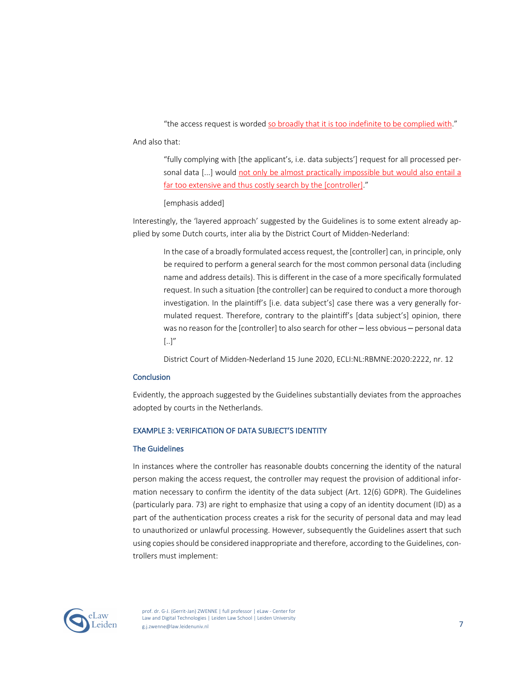"the access request is worded so broadly that it is too indefinite to be complied with."

And also that:

"fully complying with [the applicant's, i.e. data subjects'] request for all processed personal data [...] would not only be almost practically impossible but would also entail a far too extensive and thus costly search by the [controller]."

[emphasis added]

Interestingly, the 'layered approach' suggested by the Guidelines is to some extent already applied by some Dutch courts, inter alia by the District Court of Midden-Nederland:

In the case of a broadly formulated access request, the [controller] can, in principle, only be required to perform a general search for the most common personal data (including name and address details). This is different in the case of a more specifically formulated request. In such a situation [the controller] can be required to conduct a more thorough investigation. In the plaintiff's [i.e. data subject's] case there was a very generally formulated request. Therefore, contrary to the plaintiff's [data subject's] opinion, there was no reason for the [controller] to also search for other – less obvious – personal data  $[...]''$ 

District Court of Midden-Nederland 15 June 2020, ECLI:NL:RBMNE:2020:2222, nr. 12

#### **Conclusion**

Evidently, the approach suggested by the Guidelines substantially deviates from the approaches adopted by courts in the Netherlands.

# EXAMPLE 3: VERIFICATION OF DATA SUBJECT'S IDENTITY

#### The Guidelines

In instances where the controller has reasonable doubts concerning the identity of the natural person making the access request, the controller may request the provision of additional information necessary to confirm the identity of the data subject (Art. 12(6) GDPR). The Guidelines (particularly para. 73) are right to emphasize that using a copy of an identity document (ID) as a part of the authentication process creates a risk for the security of personal data and may lead to unauthorized or unlawful processing. However, subsequently the Guidelines assert that such using copies should be considered inappropriate and therefore, according to the Guidelines, controllers must implement:

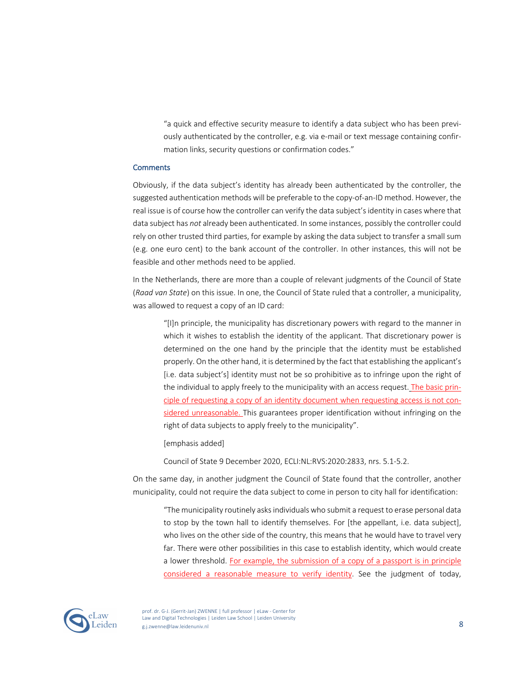"a quick and effective security measure to identify a data subject who has been previously authenticated by the controller, e.g. via e-mail or text message containing confirmation links, security questions or confirmation codes."

#### **Comments**

Obviously, if the data subject's identity has already been authenticated by the controller, the suggested authentication methods will be preferable to the copy-of-an-ID method. However, the real issue is of course how the controller can verify the data subject's identity in cases where that data subject has *not* already been authenticated. In some instances, possibly the controller could rely on other trusted third parties, for example by asking the data subject to transfer a small sum (e.g. one euro cent) to the bank account of the controller. In other instances, this will not be feasible and other methods need to be applied.

In the Netherlands, there are more than a couple of relevant judgments of the Council of State (*Raad van State*) on this issue. In one, the Council of State ruled that a controller, a municipality, was allowed to request a copy of an ID card:

"[I]n principle, the municipality has discretionary powers with regard to the manner in which it wishes to establish the identity of the applicant. That discretionary power is determined on the one hand by the principle that the identity must be established properly. On the other hand, it is determined by the fact that establishing the applicant's [i.e. data subject's] identity must not be so prohibitive as to infringe upon the right of the individual to apply freely to the municipality with an access request. The basic principle of requesting a copy of an identity document when requesting access is not considered unreasonable. This guarantees proper identification without infringing on the right of data subjects to apply freely to the municipality".

[emphasis added]

Council of State 9 December 2020, ECLI:NL:RVS:2020:2833, nrs. 5.1-5.2.

On the same day, in another judgment the Council of State found that the controller, another municipality, could not require the data subject to come in person to city hall for identification:

"The municipality routinely asks individuals who submit a request to erase personal data to stop by the town hall to identify themselves. For [the appellant, i.e. data subject], who lives on the other side of the country, this means that he would have to travel very far. There were other possibilities in this case to establish identity, which would create a lower threshold. For example, the submission of a copy of a passport is in principle considered a reasonable measure to verify identity. See the judgment of today,

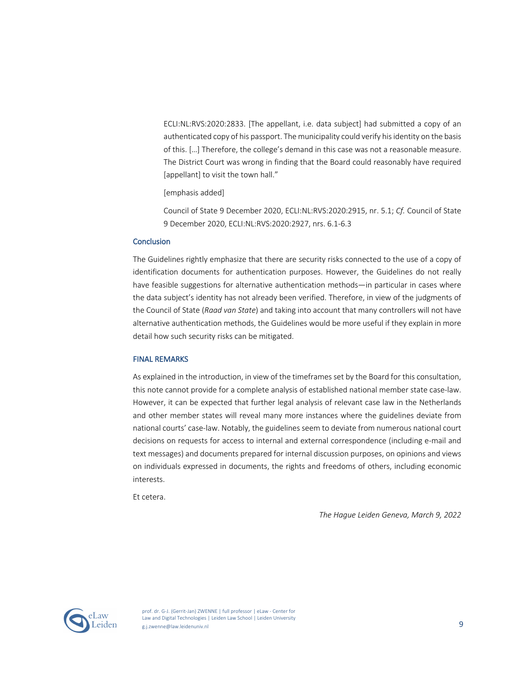ECLI:NL:RVS:2020:2833. [The appellant, i.e. data subject] had submitted a copy of an authenticated copy of his passport. The municipality could verify his identity on the basis of this. […] Therefore, the college's demand in this case was not a reasonable measure. The District Court was wrong in finding that the Board could reasonably have required [appellant] to visit the town hall."

[emphasis added]

Council of State 9 December 2020, ECLI:NL:RVS:2020:2915, nr. 5.1; *Cf.* Council of State 9 December 2020, ECLI:NL:RVS:2020:2927, nrs. 6.1-6.3

## **Conclusion**

The Guidelines rightly emphasize that there are security risks connected to the use of a copy of identification documents for authentication purposes. However, the Guidelines do not really have feasible suggestions for alternative authentication methods—in particular in cases where the data subject's identity has not already been verified. Therefore, in view of the judgments of the Council of State (*Raad van State*) and taking into account that many controllers will not have alternative authentication methods, the Guidelines would be more useful if they explain in more detail how such security risks can be mitigated.

#### FINAL REMARKS

As explained in the introduction, in view of the timeframes set by the Board for this consultation, this note cannot provide for a complete analysis of established national member state case-law. However, it can be expected that further legal analysis of relevant case law in the Netherlands and other member states will reveal many more instances where the guidelines deviate from national courts' case-law. Notably, the guidelines seem to deviate from numerous national court decisions on requests for access to internal and external correspondence (including e-mail and text messages) and documents prepared for internal discussion purposes, on opinions and views on individuals expressed in documents, the rights and freedoms of others, including economic interests.

Et cetera.

*The Hague Leiden Geneva, March 9, 2022*